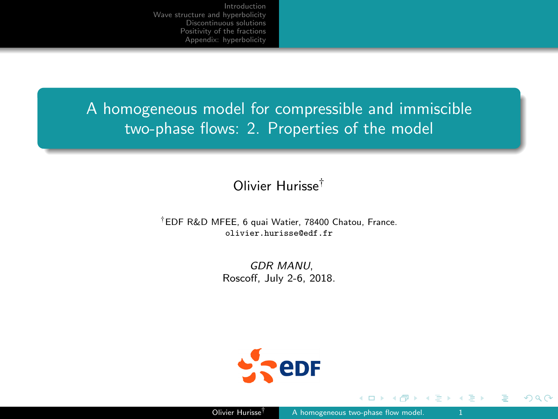<span id="page-0-0"></span>A homogeneous model for compressible and immiscible two-phase flows: 2. Properties of the model

## Olivier Hurisse†

#### †EDF R&D MFEE, 6 quai Watier, 78400 Chatou, France. olivier.hurisse@edf.fr

GDR MANU, Roscoff, July 2-6, 2018.



つへへ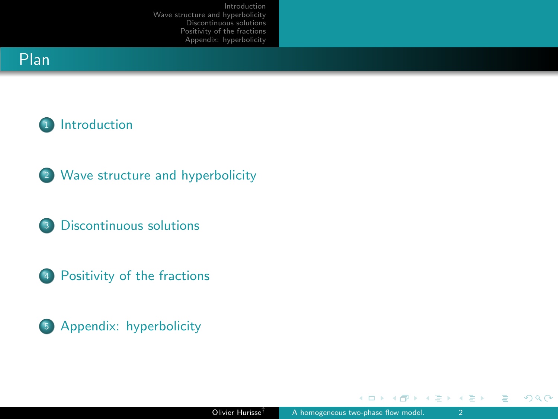# <span id="page-1-0"></span>Plan



- <sup>2</sup> [Wave structure and hyperbolicity](#page-6-0)
- <sup>3</sup> [Discontinuous solutions](#page-13-0)
- <sup>4</sup> [Positivity of the fractions](#page-24-0)



**€ □ >** 

 $2990$ 

э

④ 白い ④ 白い

 $\sim$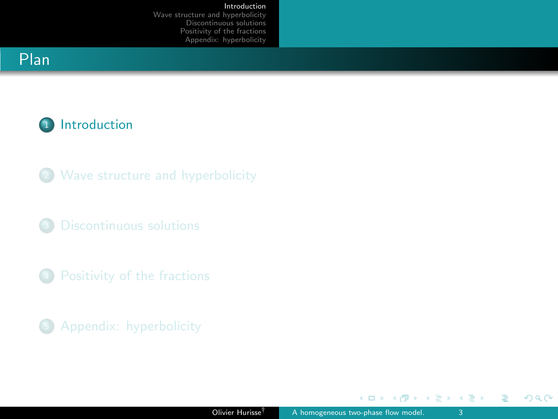#### [Introduction](#page-2-0)

[Wave structure and hyperbolicity](#page-6-0) [Discontinuous solutions](#page-13-0) [Positivity of the fractions](#page-24-0) [Appendix: hyperbolicity](#page-28-0)

# <span id="page-2-0"></span>Plan



- <sup>2</sup> [Wave structure and hyperbolicity](#page-6-0)
- <sup>3</sup> [Discontinuous solutions](#page-13-0)
- <sup>4</sup> [Positivity of the fractions](#page-24-0)
- <sup>5</sup> [Appendix: hyperbolicity](#page-28-0)

 $\leftarrow$   $\Box$   $\rightarrow$ 

K 御 ▶ K 君 ▶ K 君 ▶

 $2990$ 

э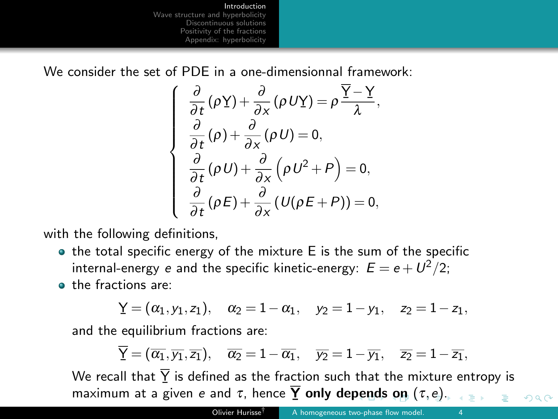[Introduction](#page-2-0)

[Wave structure and hyperbolicity](#page-6-0) [Discontinuous solutions](#page-13-0) [Positivity of the fractions](#page-24-0) [Appendix: hyperbolicity](#page-28-0)

<span id="page-3-0"></span>We consider the set of PDF in a one-dimensionnal framework:

$$
\frac{\partial}{\partial t}(\rho \underline{Y}) + \frac{\partial}{\partial x}(\rho U \underline{Y}) = \rho \frac{\overline{Y} - \underline{Y}}{\lambda}, \n\frac{\partial}{\partial t}(\rho) + \frac{\partial}{\partial x}(\rho U) = 0, \n\frac{\partial}{\partial t}(\rho U) + \frac{\partial}{\partial x}(\rho U^2 + P) = 0, \n\frac{\partial}{\partial t}(\rho E) + \frac{\partial}{\partial x}(U(\rho E + P)) = 0,
$$

with the following definitions,

- $\bullet$  the total specific energy of the mixture E is the sum of the specific internal-energy  $e$  and the specific kinetic-energy:  $E=e+U^2/2;$
- the fractions are:

$$
\underline{Y} = (\alpha_1, y_1, z_1), \quad \alpha_2 = 1 - \alpha_1, \quad y_2 = 1 - y_1, \quad z_2 = 1 - z_1,
$$

and the equilibrium fractions are:

 $\sqrt{ }$ 

 $\begin{array}{c} \hline \end{array}$ 

 $\begin{array}{c} \hline \end{array}$ 

$$
\overline{Y}=(\overline{\alpha_1},\overline{y_1},\overline{z_1}),\quad \overline{\alpha_2}=1-\overline{\alpha_1},\quad \overline{y_2}=1-\overline{y_1},\quad \overline{z_2}=1-\overline{z_1},
$$

We recall that  $Y$  is defined as the fraction such that the mixture entropy is The result a[n](#page-3-0)d  $\frac{1}{2}$  is defined as the results from the the instantant maximum at a given e and τ[,](#page-1-0) h[e](#page-2-0)nce  $\overline{Y}$  only de[pen](#page-2-0)[ds](#page-4-0) [o](#page-2-0)n  $(τ, e)$  $(τ, e)$ .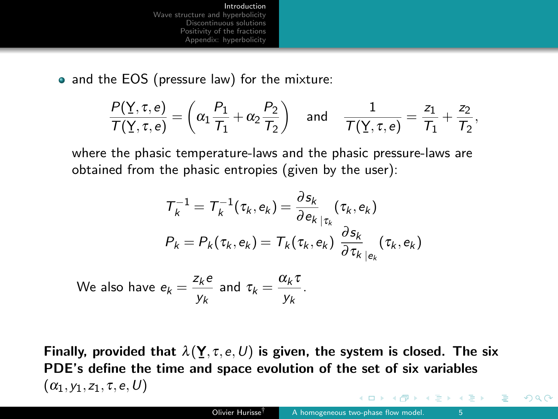<span id="page-4-0"></span>• and the EOS (pressure law) for the mixture:

$$
\frac{P(\underline{Y},\tau,e)}{\mathcal{T}(\underline{Y},\tau,e)} = \left(\alpha_1 \frac{P_1}{\mathcal{T}_1} + \alpha_2 \frac{P_2}{\mathcal{T}_2}\right) \quad \text{and} \quad \frac{1}{\mathcal{T}(\underline{Y},\tau,e)} = \frac{z_1}{\mathcal{T}_1} + \frac{z_2}{\mathcal{T}_2},
$$

where the phasic temperature-laws and the phasic pressure-laws are obtained from the phasic entropies (given by the user):

$$
T_k^{-1} = T_k^{-1}(\tau_k, e_k) = \frac{\partial s_k}{\partial e_k}\Big|_{\tau_k}(\tau_k, e_k)
$$
  
\n
$$
P_k = P_k(\tau_k, e_k) = T_k(\tau_k, e_k) \frac{\partial s_k}{\partial \tau_k}\Big|_{e_k}(\tau_k, e_k)
$$

We also have 
$$
e_k = \frac{z_k e}{y_k}
$$
 and  $\tau_k = \frac{\alpha_k \tau}{y_k}$ .

Finally, provided that  $\lambda(\textbf{Y},\tau,e,U)$  is given, the system is closed. The six The space is the time and space evolution of the set of six variables  $(\alpha_1,y_1,z_1,\tau,e,U)$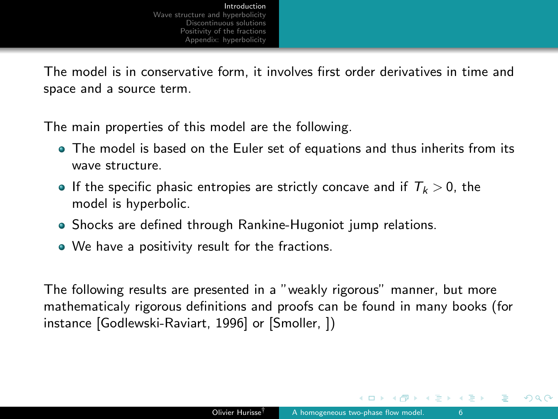<span id="page-5-0"></span>The model is in conservative form, it involves first order derivatives in time and space and a source term.

The main properties of this model are the following.

- The model is based on the Euler set of equations and thus inherits from its wave structure.
- If the specific phasic entropies are strictly concave and if  $T_k > 0$ , the model is hyperbolic.
- Shocks are defined through Rankine-Hugoniot jump relations.
- We have a positivity result for the fractions.

The following results are presented in a "weakly rigorous" manner, but more mathematicaly rigorous definitions and proofs can be found in many books (for instance [Godlewski-Raviart, 1996] or [Smoller, ])

k Exis Exi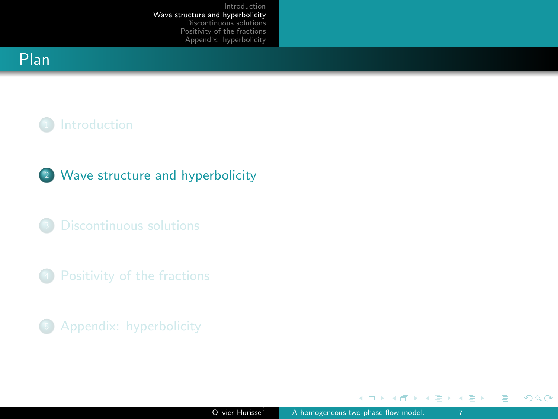# <span id="page-6-0"></span>Plan

# <sup>1</sup> [Introduction](#page-2-0)

## <sup>2</sup> [Wave structure and hyperbolicity](#page-6-0)

<sup>3</sup> [Discontinuous solutions](#page-13-0)

<sup>4</sup> [Positivity of the fractions](#page-24-0)

<sup>5</sup> [Appendix: hyperbolicity](#page-28-0)

 $\leftarrow$   $\Box$   $\rightarrow$ 

ス重き ス重き

 $\rightarrow$ 

 $\sim$ a.  $2990$ 

Ε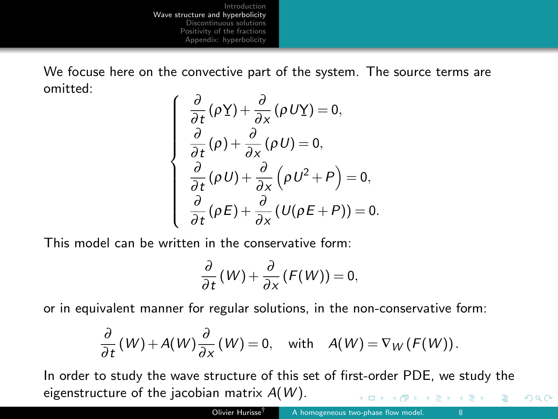We focuse here on the convective part of the system. The source terms are omitted:

$$
\begin{cases}\n\frac{\partial}{\partial t}(\rho \underline{Y}) + \frac{\partial}{\partial x}(\rho U \underline{Y}) = 0, \\
\frac{\partial}{\partial t}(\rho) + \frac{\partial}{\partial x}(\rho U) = 0, \\
\frac{\partial}{\partial t}(\rho U) + \frac{\partial}{\partial x}(\rho U^2 + P) = 0, \\
\frac{\partial}{\partial t}(\rho E) + \frac{\partial}{\partial x}(U(\rho E + P)) = 0.\n\end{cases}
$$

This model can be written in the conservative form:

$$
\frac{\partial}{\partial t}(W) + \frac{\partial}{\partial x}(F(W)) = 0,
$$

or in equivalent manner for regular solutions, in the non-conservative form:

$$
\frac{\partial}{\partial t}(W) + A(W)\frac{\partial}{\partial x}(W) = 0, \text{ with } A(W) = \nabla_W(F(W)).
$$

In order to study the wave structure of this set of first-order PDE, we study the eigenstructure of the jacobian matrix  $A(W)$ .  $\mathbb{B} \rightarrow \mathbb{R} \oplus \mathbb{R}$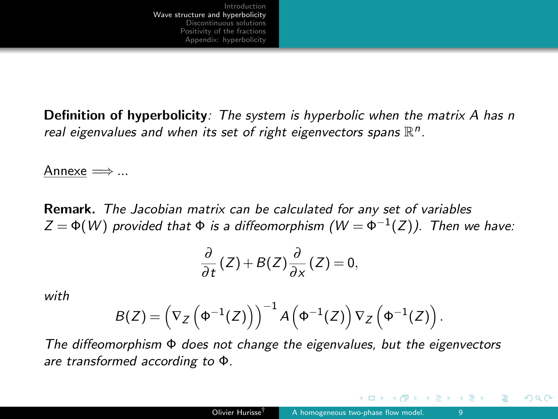<span id="page-8-0"></span>Definition of hyperbolicity: The system is hyperbolic when the matrix A has n real eigenvalues and when its set of right eigenvectors spans  $\mathbb{R}^n$ .

Annexe  $\Longrightarrow$  ...

Remark. The Jacobian matrix can be calculated for any set of variables  $Z = \Phi(W)$  provided that  $\Phi$  is a diffeomorphism  $(W = \Phi^{-1}(Z))$ . Then we have:

$$
\frac{\partial}{\partial t}(Z) + B(Z)\frac{\partial}{\partial x}(Z) = 0,
$$

with

$$
B(Z) = \left(\nabla_Z\left(\Phi^{-1}(Z)\right)\right)^{-1} A\left(\Phi^{-1}(Z)\right) \nabla_Z\left(\Phi^{-1}(Z)\right).
$$

The diffeomorphism  $\Phi$  does not change the eigenvalues, but the eigenvectors are transformed according to Φ.

 $\leftarrow$   $\Box$ 

イヨメ イヨメ

つへへ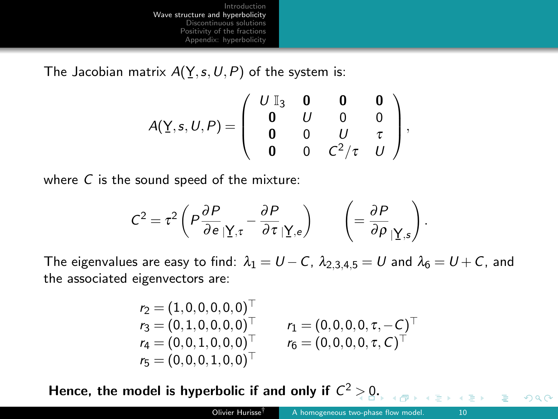The Jacobian matrix  $A(Y, s, U, P)$  of the system is:

$$
A(\underline{Y}, s, U, P) = \left( \begin{array}{cccc} U & \mathbb{I}_3 & \mathbf{0} & \mathbf{0} & \mathbf{0} \\ \mathbf{0} & U & 0 & 0 \\ \mathbf{0} & 0 & U & \tau \\ \mathbf{0} & 0 & C^2/\tau & U \end{array} \right),
$$

where  $C$  is the sound speed of the mixture:

$$
C^2 = \tau^2 \left( P \frac{\partial P}{\partial e} | \underline{\Upsilon},_{\tau} - \frac{\partial P}{\partial \tau} | \underline{\Upsilon},_{e} \right) \qquad \left( = \frac{\partial P}{\partial \rho} | \underline{\Upsilon},_{s} \right).
$$

The eigenvalues are easy to find:  $\lambda_1 = U - C$ ,  $\lambda_{2,3,4,5} = U$  and  $\lambda_6 = U + C$ , and the associated eigenvectors are:

$$
\begin{array}{lll} r_2=(1,0,0,0,0,0)^{\top} & & \\ r_3=(0,1,0,0,0,0)^{\top} & & r_1=(0,0,0,0,\tau,-C)^{\top} \\ r_4=(0,0,1,0,0,0)^{\top} & & r_6=(0,0,0,0,\tau,C)^{\top} \\ r_5=(0,0,0,1,0,0)^{\top} & & \end{array}
$$

Hence, the model is hyperbolic if and only if  $C^2 > 0$  $C^2 > 0$  $C^2 > 0$ [.](#page-10-0)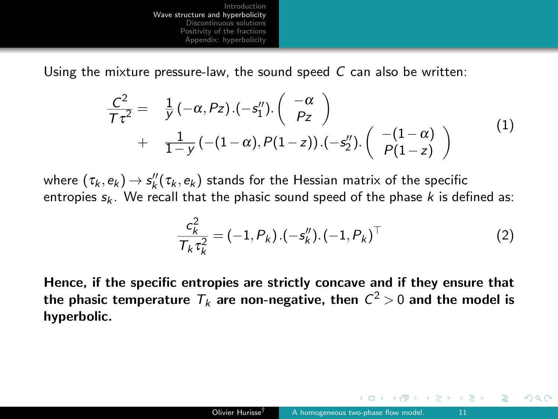<span id="page-10-0"></span>Using the mixture pressure-law, the sound speed  $C$  can also be written:

$$
\frac{C^2}{T\tau^2} = \frac{1}{y} (-\alpha, Pz) . (-s_1'') . (\begin{array}{c} -\alpha \\ Pz \end{array}) + \frac{1}{1-y} (-(1-\alpha), P(1-z)) . (-s_2'') . (\begin{array}{c} -(1-\alpha) \\ P(1-z) \end{array})
$$
\n(1)

where  $(\tau_k,e_k)$   $\rightarrow$   $s_k''(\tau_k,e_k)$  stands for the Hessian matrix of the specific entropies  $s_k$ . We recall that the phasic sound speed of the phase k is defined as:

$$
\frac{c_k^2}{T_k \tau_k^2} = (-1, P_k) \cdot (-s_k'') \cdot (-1, P_k)^\top
$$
\n(2)

Hence, if the specific entropies are strictly concave and if they ensure that the phasic temperature  $\,_{k}$  are non-negative, then  $\,{\sf C}^2\!>0$  and the model is hyperbolic.

④ 重 を ④ 重 を …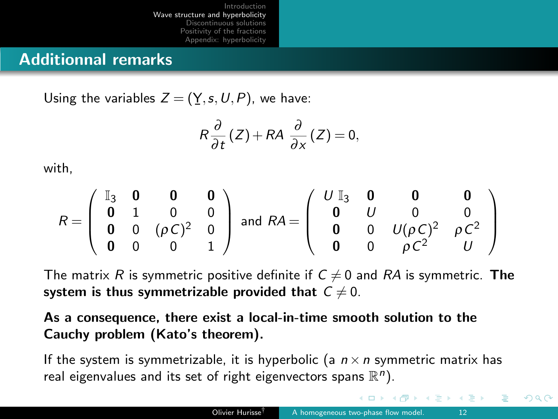## Additionnal remarks

Using the variables  $Z = (\underline{Y}, s, U, P)$ , we have: ¯

$$
R\frac{\partial}{\partial t}(Z) + RA\frac{\partial}{\partial x}(Z) = 0,
$$

with,

$$
R = \left(\begin{array}{cccc} \mathbb{I}_3 & \mathbf{0} & \mathbf{0} & \mathbf{0} \\ \mathbf{0} & 1 & 0 & 0 \\ \mathbf{0} & 0 & (\rho C)^2 & 0 \\ \mathbf{0} & 0 & 0 & 1 \end{array}\right) \text{ and } RA = \left(\begin{array}{cccc} U & \mathbb{I}_3 & \mathbf{0} & \mathbf{0} & \mathbf{0} \\ \mathbf{0} & U & 0 & 0 \\ \mathbf{0} & 0 & U(\rho C)^2 & \rho C^2 \\ \mathbf{0} & 0 & \rho C^2 & U \end{array}\right)
$$

The matrix R is symmetric positive definite if  $C \neq 0$  and RA is symmetric. The system is thus symmetrizable provided that  $C \neq 0$ .

### As a consequence, there exist a local-in-time smooth solution to the Cauchy problem (Kato's theorem).

If the system is symmetrizable, it is hyperbolic (a  $n \times n$  symmetric matrix has real eigenvalues and its set of right eigenvectors spans  $\mathbb{R}^n$ ).

 $\left\{ \begin{array}{ccc} \pm & \rightarrow & \leftarrow & \pm & \rightarrow & \cdots \end{array} \right.$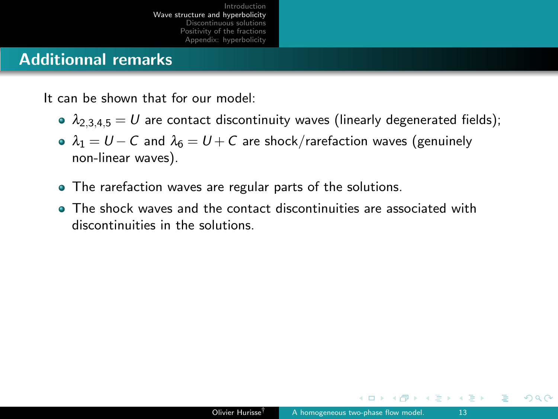# <span id="page-12-0"></span>Additionnal remarks

It can be shown that for our model:

- $\lambda_{2,3,4,5} = U$  are contact discontinuity waves (linearly degenerated fields);
- $\lambda_1 = U C$  and  $\lambda_6 = U + C$  are shock/rarefaction waves (genuinely non-linear waves).
- The rarefaction waves are regular parts of the solutions.
- The shock waves and the contact discontinuities are associated with discontinuities in the solutions.

ミメスミメ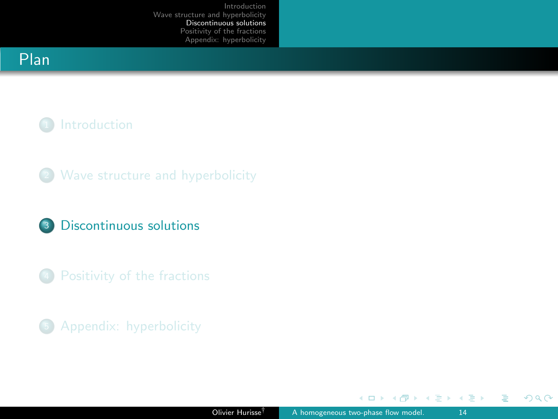# <span id="page-13-0"></span>Plan

# <sup>1</sup> [Introduction](#page-2-0)

<sup>2</sup> [Wave structure and hyperbolicity](#page-6-0)

### <sup>3</sup> [Discontinuous solutions](#page-13-0)

<sup>4</sup> [Positivity of the fractions](#page-24-0)

<sup>5</sup> [Appendix: hyperbolicity](#page-28-0)

 $\leftarrow$   $\Box$   $\rightarrow$ 

4 何 ▶

 $2990$ 

Ε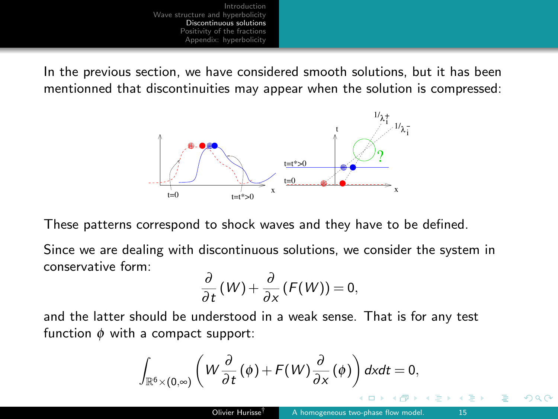In the previous section, we have considered smooth solutions, but it has been mentionned that discontinuities may appear when the solution is compressed:



These patterns correspond to shock waves and they have to be defined.

Since we are dealing with discontinuous solutions, we consider the system in conservative form:

$$
\frac{\partial}{\partial t}(W) + \frac{\partial}{\partial x}(F(W)) = 0,
$$

and the latter should be understood in a weak sense. That is for any test function  $\phi$  with a compact support:

$$
\int_{\mathbb{R}^6\times(0,\infty)}\left(W\frac{\partial}{\partial t}(\phi)+F(W)\frac{\partial}{\partial x}(\phi)\right)dxdt=0,
$$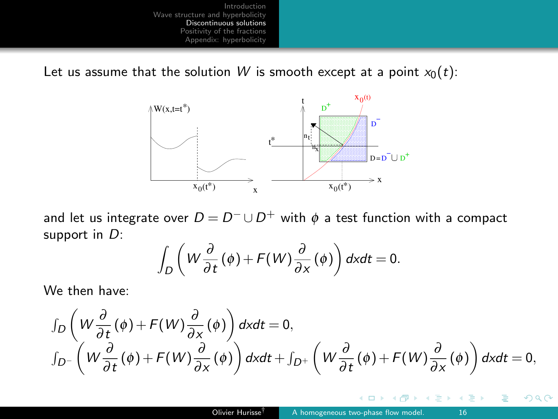Let us assume that the solution W is smooth except at a point  $x_0(t)$ :



and let us integrate over  $D = D^- \cup D^+$  with  $\phi$  a test function with a compact support in  $D$ :

$$
\int_D \left(W\frac{\partial}{\partial t}(\phi) + F(W)\frac{\partial}{\partial x}(\phi)\right)dxdt = 0.
$$

We then have:

$$
\int_{D} \left( W \frac{\partial}{\partial t}(\phi) + F(W) \frac{\partial}{\partial x}(\phi) \right) dx dt = 0,\n\int_{D^{-}} \left( W \frac{\partial}{\partial t}(\phi) + F(W) \frac{\partial}{\partial x}(\phi) \right) dx dt + \int_{D^{+}} \left( W \frac{\partial}{\partial t}(\phi) + F(W) \frac{\partial}{\partial x}(\phi) \right) dx dt = 0,
$$

 $\leftarrow$ 

 $\sim$ 

 $QQ$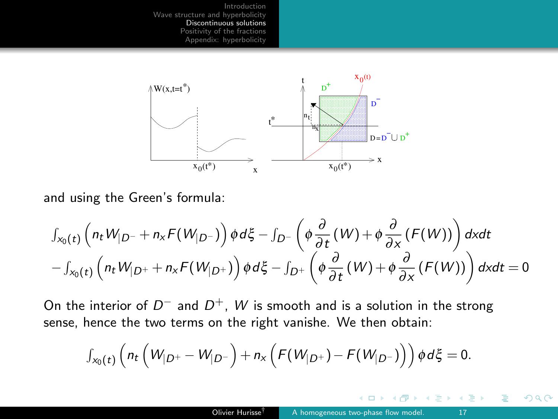

and using the Green's formula:

$$
\int_{x_0(t)} \left( n_t W_{|D^-} + n_x F(W_{|D^-}) \right) \phi d\xi - \int_{D^-} \left( \phi \frac{\partial}{\partial t} (W) + \phi \frac{\partial}{\partial x} (F(W)) \right) dx dt - \int_{x_0(t)} \left( n_t W_{|D^+} + n_x F(W_{|D^+}) \right) \phi d\xi - \int_{D^+} \left( \phi \frac{\partial}{\partial t} (W) + \phi \frac{\partial}{\partial x} (F(W)) \right) dx dt = 0
$$

On the interior of  $D^-$  and  $D^+$ , W is smooth and is a solution in the strong sense, hence the two terms on the right vanishe. We then obtain:

$$
\int_{x_0(t)} \left( n_t \left( W_{|D^+} - W_{|D^-} \right) + n_x \left( F(W_{|D^+}) - F(W_{|D^-}) \right) \right) \phi d\xi = 0.
$$

4 **D** >

 $\equiv$   $\rightarrow$ 

 $QQ$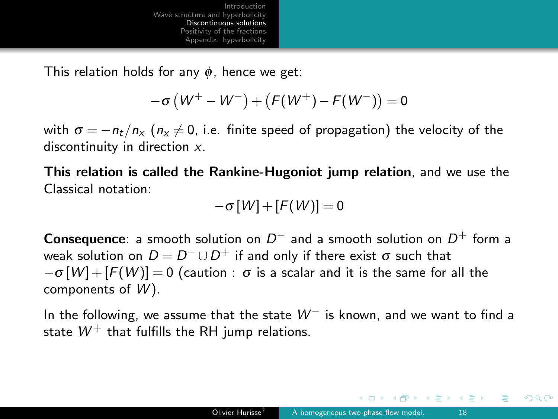This relation holds for any  $\phi$ , hence we get:

$$
-\sigma\left(W^+-W^-\right)+\left(F(W^+)-F(W^-\right)\right)=0
$$

with  $\sigma = -n_t/n_x$  ( $n_x \neq 0$ , i.e. finite speed of propagation) the velocity of the discontinuity in direction x.

This relation is called the Rankine-Hugoniot jump relation, and we use the Classical notation:

$$
-\sigma[W]+[F(W)]=0
$$

**Consequence:** a smooth solution on  $D^-$  and a smooth solution on  $D^+$  form a weak solution on  $D = D^- \cup D^+$  if and only if there exist  $\sigma$  such that  $-\sigma[W] + [F(W)] = 0$  (caution :  $\sigma$  is a scalar and it is the same for all the components of  $W$ ).

In the following, we assume that the state  $W^-$  is known, and we want to find a state  $W^+$  that fulfills the RH jump relations.

∢ 重 ≯ → 重 ≯ →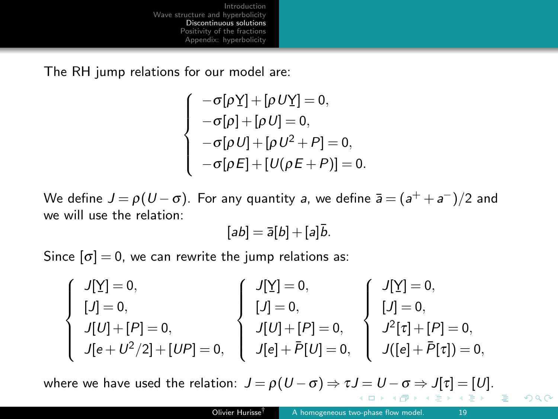<span id="page-18-0"></span>The RH jump relations for our model are:

$$
\begin{cases}\n-\sigma[\rho Y] + [\rho U Y] = 0, \\
-\sigma[\rho] + [\rho U] = 0, \\
-\sigma[\rho U] + [\rho U^2 + P] = 0, \\
-\sigma[\rho E] + [U(\rho E + P)] = 0.\n\end{cases}
$$

We define  $J\!=\!\rho(U\!-\!\sigma)$ . For any quantity  $\emph{a}$ , we define  $\bar{\emph{a}}=(\emph{a}^++\emph{a}^-)/2$  and we will use the relation:

$$
[ab] = \overline{a}[b] + [a]\overline{b}.
$$

Since  $[\sigma] = 0$ , we can rewrite the jump relations as:

$$
\left\{\begin{array}{l}J[\underline{Y}]=0,\\[5pt] [J]=0,\\[5pt] J[U]+[P]=0,\\[5pt] J[e+U^2/2]+[UP]=0,\\[5pt] \end{array}\right.\left\{\begin{array}{l}J[\underline{Y}]=0,\\[5pt] [J]=0,\\[5pt] J[U]+[P]=0,\\[5pt] J[e]+\bar{P}[U]=0,\\[5pt] J[e]+\bar{P}[U]=0,\\[5pt] \end{array}\right.\left\{\begin{array}{l}J[\underline{Y}]=0,\\[5pt] J^2[\tau]+[P]=0,\\[5pt] J^2[\tau]+[P]=0,\\[5pt] J([e]+\bar{P}[\tau])=0,\\[5pt] \end{array}\right.
$$

where we have used the relation:  $J = \rho(U - \sigma) \Rightarrow \tau J = U - \sigma \Rightarrow J[\tau] = [U].$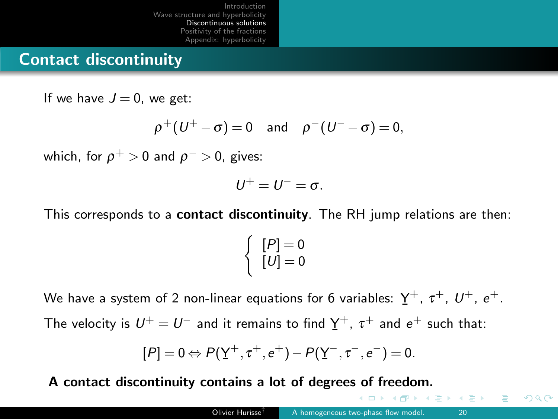## Contact discontinuity

If we have  $J = 0$ , we get:

$$
\rho^+(U^+ - \sigma) = 0 \quad \text{and} \quad \rho^-(U^- - \sigma) = 0,
$$

which, for  $\rho^+>0$  and  $\rho^->0$ , gives:

$$
U^+=U^-=\sigma.
$$

This corresponds to a contact discontinuity. The RH jump relations are then:

$$
\left\{\n \begin{array}{c}\n [P] = 0 \\
 [U] = 0\n \end{array}\n\right.
$$

We have a system of 2 non-linear equations for 6 variables:  $\rm \underline{Y}^+$ ,  $\rm \tau^+$ ,  $\rm \textit{U}^+$ ,  $\rm e^+$ . ¯

The velocity is  $U^+ = U^-$  and it remains to find  $Y^+$ ,  $\tau^+$  and  $e^+$  such that:

$$
[P] = 0 \Leftrightarrow P(\underline{Y}^+, \tau^+, e^+) - P(\underline{Y}^-, \tau^-, e^-) = 0.
$$

A contact discontinuity contains a lot of degrees of freedom.

 $\Box$ 

化重 医化重 医二重体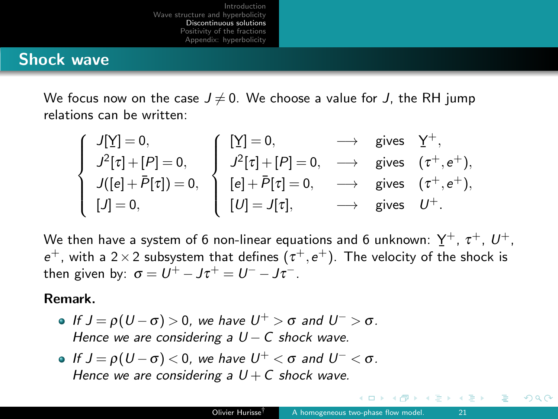## Shock wave

We focus now on the case  $J \neq 0$ . We choose a value for J, the RH jump relations can be written:

| $J[\underline{Y}] = 0,$   | $\left[\begin{array}{c} \left[\underline{Y}\right]=0, \end{array}\right]$ | $\longrightarrow$ gives $Y^+$ , |                                           |
|---------------------------|---------------------------------------------------------------------------|---------------------------------|-------------------------------------------|
| $J^2[\tau]+[P]=0,$        | $J^2[\tau]+[P]=0,$                                                        |                                 | $\longrightarrow$ gives $(\tau^+, e^+)$ , |
| $J([e]+\bar{P}[\tau])=0,$ | $\Big)$ $[e]+\bar{P}[\tau]=0,$                                            |                                 | $\longrightarrow$ gives $(\tau^+, e^+)$ , |
| $[J]=0,$                  | $[U]=J[\tau],$                                                            | $\longrightarrow$ gives $U^+$ . |                                           |

We then have a system of 6 non-linear equations and 6 unknown:  $\rm \underline{Y}^+$ ,  $\rm \tau^+$ ,  $\rm \mathit{U}^+$ ,  $e^+$ , with a 2 × 2 subsystem that defines  $(\tau^+, e^+)$ . The velocity of the shock is then given by:  $\sigma = U^+ - J\tau^+ = U^- - J\tau^-.$ 

#### Remark.

- If  $J = \rho(U \sigma) > 0$ , we have  $U^+ > \sigma$  and  $U^- > \sigma$ . Hence we are considering a  $U - C$  shock wave.
- If  $J = \rho(U \sigma) < 0$ , we have  $U^+ < \sigma$  and  $U^- < \sigma$ . Hence we are considering a  $U + C$  shock wave.

キャッキャ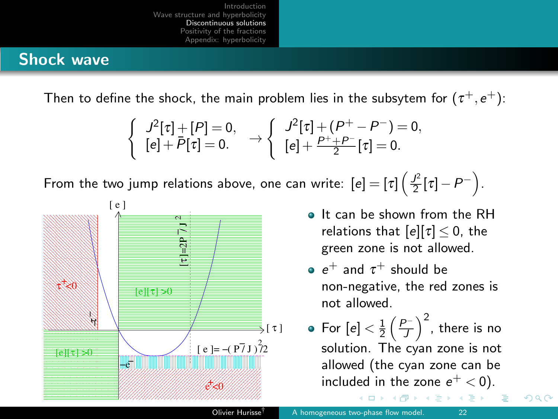## Shock wave

Then to define the shock, the main problem lies in the subsytem for  $(\tau^+,e^+)$ :

$$
\left\{\begin{array}{c}J^2[\tau]+[P]=0,\cr [e]+\bar{P}[\tau]=0.\end{array}\right.\rightarrow\left\{\begin{array}{c}J^2[\tau]+(P^+-P^-)=0,\cr [e]+\frac{P^++P^-}{2}[\tau]=0.\end{array}\right.
$$

From the two jump relations above, one can write:  $[e] = [\tau] \left( \frac{f^2}{2} [\tau] - P^- \right)$ .



- It can be shown from the RH relations that  $[e][\tau] \leq 0$ , the green zone is not allowed.
- $e^+$  and  $\tau^+$  should be non-negative, the red zones is not allowed.
- For  $[e]<\frac{1}{2}\left(\frac{P^-}{J}\right)^2$ , there is no solution. The cyan zone is not allowed (the cyan zone can be included in the zone  $e^+ < 0$ ).

 $QQ$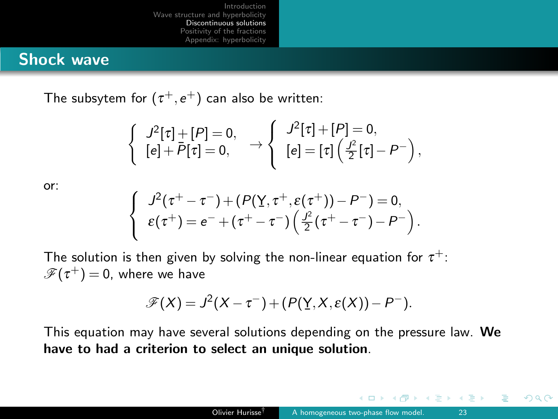## <span id="page-22-0"></span>Shock wave

The subsytem for  $(\tau^+,e^+)$  can also be written:

$$
\begin{cases}\nJ^2[\tau] + [P] = 0, \\
[e] + \overline{P}[\tau] = 0, \n\end{cases}\n\rightarrow\n\begin{cases}\nJ^2[\tau] + [P] = 0, \\
[e] = [\tau] \left( \frac{J^2}{2}[\tau] - P^- \right),\n\end{cases}
$$

or:

$$
\begin{cases}\nJ^2(\tau^+ - \tau^-) + (P(\underline{Y}, \tau^+, \varepsilon(\tau^+)) - P^-) = 0, \\
\varepsilon(\tau^+) = e^- + (\tau^+ - \tau^-) \left( \frac{J^2}{2} (\tau^+ - \tau^-) - P^- \right).\n\end{cases}
$$

The solution is then given by solving the non-linear equation for  $\tau^+$ :  $\mathscr{F}(\tau^+)=0$ , where we have

$$
\mathscr{F}(X) = J^2(X - \tau^-) + (P(Y, X, \varepsilon(X)) - P^-).
$$

This equation may have several solutions depending on the pressure law. We have to had a criterion to select an unique solution.

 $\leftarrow$   $\Box$ 

イヨメ イヨメ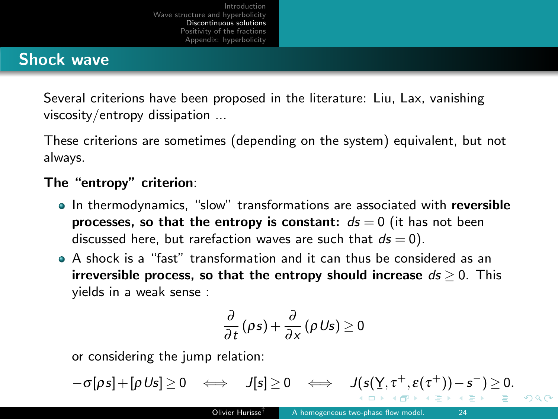# <span id="page-23-0"></span>Shock wave

Several criterions have been proposed in the literature: Liu, Lax, vanishing viscosity/entropy dissipation ...

These criterions are sometimes (depending on the system) equivalent, but not always.

#### The "entropy" criterion:

- In thermodynamics, "slow" transformations are associated with reversible processes, so that the entropy is constant:  $ds = 0$  (it has not been discussed here, but rarefaction waves are such that  $ds = 0$ ).
- A shock is a "fast" transformation and it can thus be considered as an irreversible process, so that the entropy should increase  $ds > 0$ . This yields in a weak sense :

$$
\frac{\partial}{\partial t}(\rho s)+\frac{\partial}{\partial x}(\rho U s)\geq 0
$$

or considering the jump relation:

$$
-\sigma[\rho s] + [\rho U s] \geq 0 \iff J[s] \geq 0 \iff J(s(Y, \tau^+, \varepsilon(\tau^+)) - s^-) \geq 0.
$$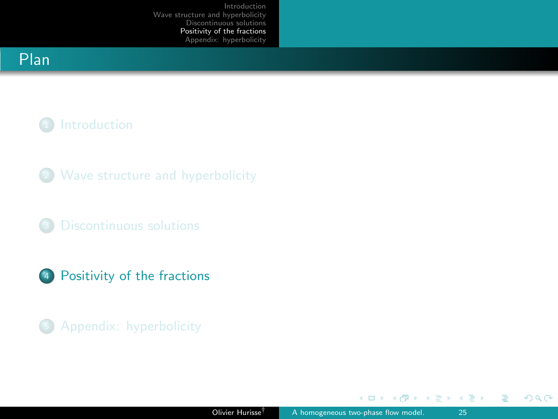# <span id="page-24-0"></span>Plan

# <sup>1</sup> [Introduction](#page-2-0)

- <sup>2</sup> [Wave structure and hyperbolicity](#page-6-0)
- <sup>3</sup> [Discontinuous solutions](#page-13-0)
- <sup>4</sup> [Positivity of the fractions](#page-24-0)
- <sup>5</sup> [Appendix: hyperbolicity](#page-28-0)

 $\leftarrow$   $\Box$   $\rightarrow$ 

A  $\rightarrow$ 

 $\sim$ 

ス重き ス重き

 $2990$ 

Ε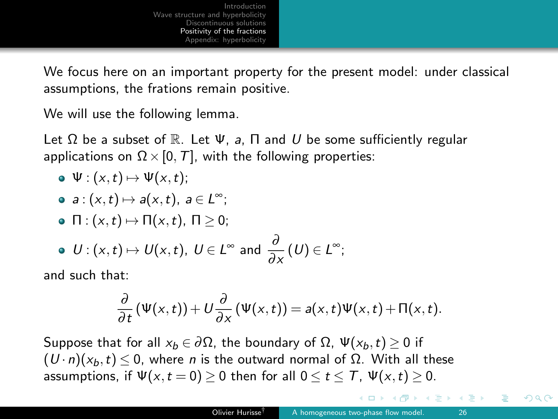We focus here on an important property for the present model: under classical assumptions, the frations remain positive.

We will use the following lemma.

Let  $\Omega$  be a subset of  $\mathbb R$ . Let  $\Psi$ , a,  $\Pi$  and U be some sufficiently regular applications on  $\Omega \times [0, T]$ , with the following properties:

- $\bullet \Psi : (x,t) \mapsto \Psi(x,t);$
- $a: (x,t) \mapsto a(x,t), a \in L^{\infty};$
- $\bullet \ \Pi : (x,t) \mapsto \Pi(x,t), \ \Pi \geq 0;$
- $U: (x, t) \mapsto U(x, t), \ U \in L^{\infty}$  and  $\frac{\partial}{\partial x}(U) \in L^{\infty}$ ;

and such that:

$$
\frac{\partial}{\partial t}(\Psi(x,t))+U\frac{\partial}{\partial x}(\Psi(x,t))=a(x,t)\Psi(x,t)+\Pi(x,t).
$$

Suppose that for all  $x_b \in \partial \Omega$ , the boundary of  $\Omega$ ,  $\Psi(x_b,t) > 0$  if  $(U \cdot n)(x_h, t) \leq 0$ , where *n* is the outward normal of  $\Omega$ . With all these assumptions, if  $\Psi(x,t=0) \geq 0$  then for all  $0 \leq t \leq T$ ,  $\Psi(x,t) \geq 0$ .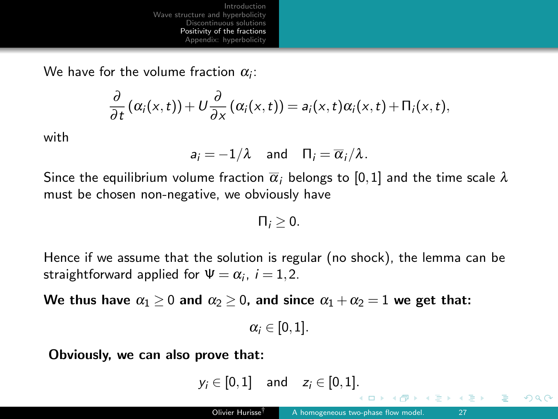We have for the volume fraction  $\alpha_i$ :

$$
\frac{\partial}{\partial t}(\alpha_i(x,t))+U\frac{\partial}{\partial x}(\alpha_i(x,t))=a_i(x,t)\alpha_i(x,t)+\Pi_i(x,t),
$$

with

$$
a_i = -1/\lambda
$$
 and  $\Pi_i = \overline{\alpha_i}/\lambda$ .

Since the equilibrium volume fraction  $\bar{\alpha}_i$  belongs to [0,1] and the time scale  $\lambda$ must be chosen non-negative, we obviously have

 $\prod_i > 0$ .

Hence if we assume that the solution is regular (no shock), the lemma can be straightforward applied for  $\Psi = \alpha_i$ ,  $i = 1, 2$ .

We thus have  $\alpha_1 \geq 0$  and  $\alpha_2 \geq 0$ , and since  $\alpha_1 + \alpha_2 = 1$  we get that:

 $\alpha_i \in [0,1]$ .

Obviously, we can also prove that:

 $y_i \in [0,1]$  and  $z_i \in [0,1]$ .

④重き ④重き …

G.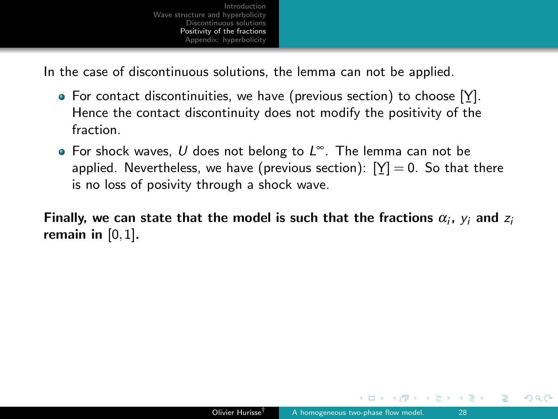In the case of discontinuous solutions, the lemma can not be applied.

- For contact discontinuities, we have (previous section) to choose  $[Y]$ . Hence the contact discontinuity does not modify the positivity of the fraction.
- For shock waves, U does not belong to  $L^{\infty}$ . The lemma can not be applied. Nevertheless, we have (previous section):  $[\underline{Y}] = 0.$  So that there ¯ is no loss of posivity through a shock wave.

Finally, we can state that the model is such that the fractions  $\alpha_i$ ,  $y_i$  and  $z_i$ remain in  $[0,1]$ .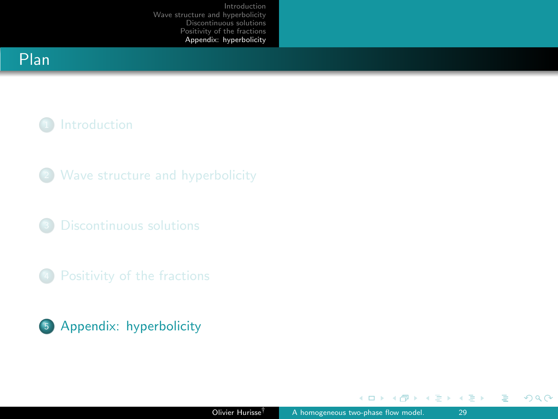# <span id="page-28-0"></span>Plan

# <sup>1</sup> [Introduction](#page-2-0)

- <sup>2</sup> [Wave structure and hyperbolicity](#page-6-0)
- <sup>3</sup> [Discontinuous solutions](#page-13-0)
- <sup>4</sup> [Positivity of the fractions](#page-24-0)



 $\leftarrow$   $\Box$   $\rightarrow$ 

K 등 > K 등 >

 $\rightarrow$ 

 $\sim$ a  $2990$ 

Ε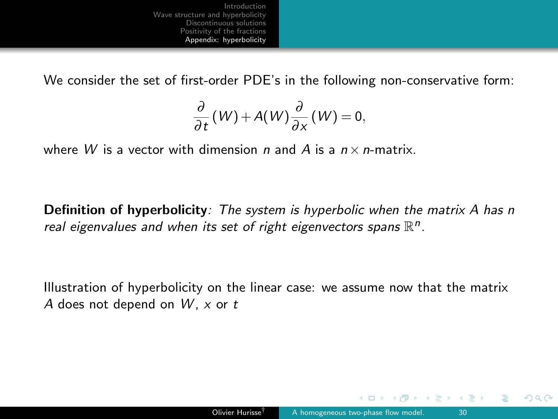We consider the set of first-order PDE's in the following non-conservative form:

$$
\frac{\partial}{\partial t}(W) + A(W)\frac{\partial}{\partial x}(W) = 0,
$$

where W is a vector with dimension n and A is a  $n \times n$ -matrix.

Definition of hyperbolicity: The system is hyperbolic when the matrix A has n real eigenvalues and when its set of right eigenvectors spans  $\mathbb{R}^n$ .

Illustration of hyperbolicity on the linear case: we assume now that the matrix A does not depend on  $W$ , x or t

ヨメ メヨメ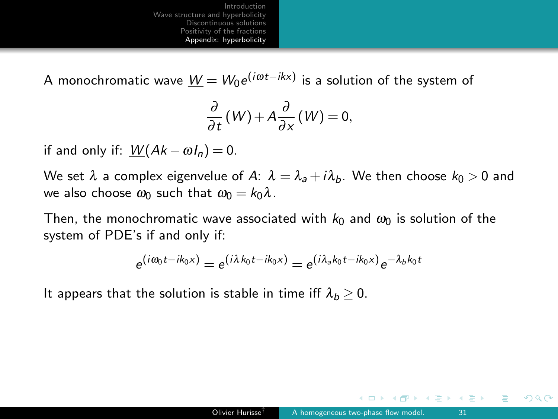A monochromatic wave  $\underline{\mathit{W}} = \mathit{W}_0 e^{(i\omega t - i k x)}$  is a solution of the system of

$$
\frac{\partial}{\partial t}(W) + A \frac{\partial}{\partial x}(W) = 0,
$$

if and only if:  $W(Ak - \omega I_n) = 0$ .

We set  $\lambda$  a complex eigenvelue of A:  $\lambda = \lambda_a + i\lambda_b$ . We then choose  $k_0 > 0$  and we also choose  $\omega_0$  such that  $\omega_0 = k_0 \lambda$ .

Then, the monochromatic wave associated with  $k_0$  and  $\omega_0$  is solution of the system of PDE's if and only if:

$$
e^{(i\omega_0 t - ik_0 x)} = e^{(i\lambda k_0 t - ik_0 x)} = e^{(i\lambda_a k_0 t - ik_0 x)} e^{-\lambda_b k_0 t}
$$

It appears that the solution is stable in time iff  $\lambda_b > 0$ .

 $\leftarrow$   $\Box$ 

ヨメ メヨメ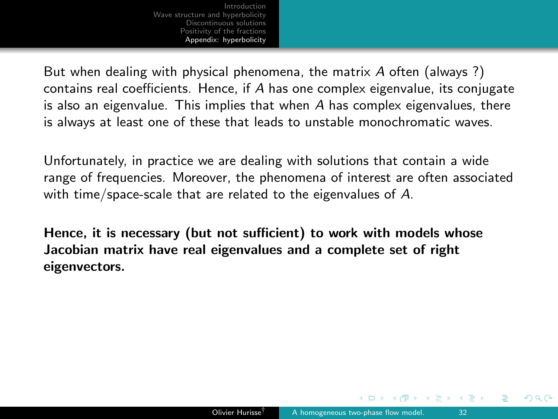But when dealing with physical phenomena, the matrix A often (always ?) contains real coefficients. Hence, if A has one complex eigenvalue, its conjugate is also an eigenvalue. This implies that when  $A$  has complex eigenvalues, there is always at least one of these that leads to unstable monochromatic waves.

Unfortunately, in practice we are dealing with solutions that contain a wide range of frequencies. Moreover, the phenomena of interest are often associated with time/space-scale that are related to the eigenvalues of A.

Hence, it is necessary (but not sufficient) to work with models whose Jacobian matrix have real eigenvalues and a complete set of right eigenvectors.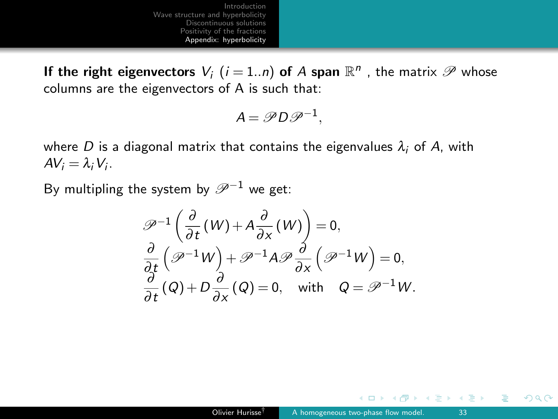If the right eigenvectors  $V_i$   $(i = 1..n)$  of  $A$  span  $\mathbb{R}^n$  , the matrix  $\mathscr{P}$  whose columns are the eigenvectors of A is such that:

$$
A = \mathscr{P} D \mathscr{P}^{-1},
$$

where D is a diagonal matrix that contains the eigenvalues  $\lambda_i$  of A, with  $AV_i = \lambda_i V_i$ .

By multipling the system by  $\mathscr{P}^{-1}$  we get:

$$
\mathcal{P}^{-1}\left(\frac{\partial}{\partial t}(W) + A\frac{\partial}{\partial x}(W)\right) = 0,
$$
  

$$
\frac{\partial}{\partial t}\left(\mathcal{P}^{-1}W\right) + \mathcal{P}^{-1}A\mathcal{P}\frac{\partial}{\partial x}\left(\mathcal{P}^{-1}W\right) = 0,
$$
  

$$
\frac{\partial}{\partial t}\left(Q\right) + D\frac{\partial}{\partial x}\left(Q\right) = 0, \text{ with } Q = \mathcal{P}^{-1}W.
$$

 $\leftarrow$   $\Box$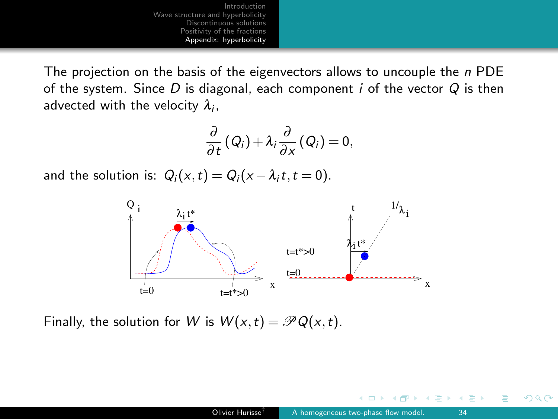The projection on the basis of the eigenvectors allows to uncouple the  $n$  PDE of the system. Since D is diagonal, each component i of the vector  $Q$  is then advected with the velocity  $\lambda_i$ ,

$$
\frac{\partial}{\partial t}\left(Q_{i}\right)+\lambda_{i}\frac{\partial}{\partial x}\left(Q_{i}\right)=0,
$$

and the solution is:  $Q_i(x,t) = Q_i(x - \lambda_i t, t = 0)$ .



Finally, the solution for W is  $W(x,t) = \mathcal{P}Q(x,t)$ .

 $\Box$ 

つへへ